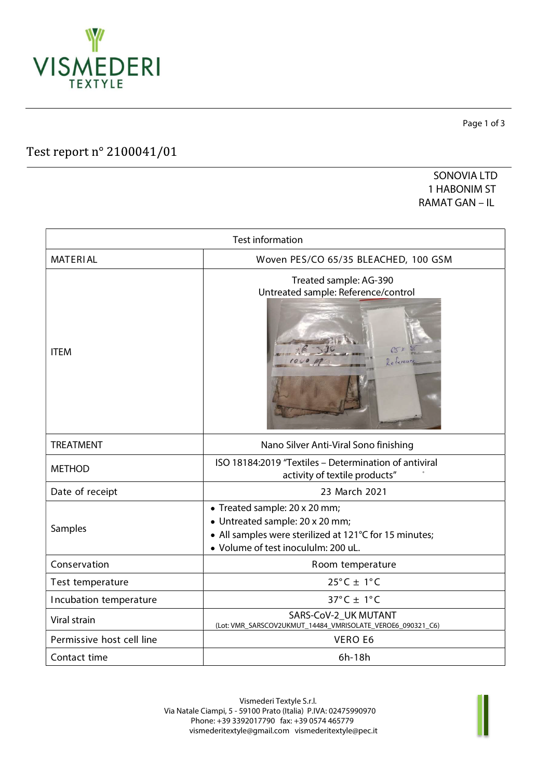

Test report n° 2100041/01

Page 1 of 3

SONOVIA LTD 1 HABONIM ST RAMAT GAN – IL

| <b>Test information</b>   |                                                                                                                                                                   |  |  |  |
|---------------------------|-------------------------------------------------------------------------------------------------------------------------------------------------------------------|--|--|--|
| <b>MATERIAL</b>           | Woven PES/CO 65/35 BLEACHED, 100 GSM                                                                                                                              |  |  |  |
| <b>ITEM</b>               | Treated sample: AG-390<br>Untreated sample: Reference/control                                                                                                     |  |  |  |
| <b>TREATMENT</b>          | Nano Silver Anti-Viral Sono finishing                                                                                                                             |  |  |  |
| <b>METHOD</b>             | ISO 18184:2019 "Textiles - Determination of antiviral<br>activity of textile products"                                                                            |  |  |  |
| Date of receipt           | 23 March 2021                                                                                                                                                     |  |  |  |
| Samples                   | • Treated sample: 20 x 20 mm;<br>• Untreated sample: 20 x 20 mm;<br>• All samples were sterilized at 121°C for 15 minutes;<br>· Volume of test inocululm: 200 uL. |  |  |  |
| Conservation              | Room temperature                                                                                                                                                  |  |  |  |
| Test temperature          | $25^{\circ}$ C ± 1°C                                                                                                                                              |  |  |  |
| Incubation temperature    | $37^{\circ}$ C ± 1°C                                                                                                                                              |  |  |  |
| Viral strain              | SARS-CoV-2 UK MUTANT<br>(Lot: VMR_SARSCOV2UKMUT_14484_VMRISOLATE_VEROE6_090321_C6)                                                                                |  |  |  |
| Permissive host cell line | <b>VERO E6</b>                                                                                                                                                    |  |  |  |
| Contact time              | 6h-18h                                                                                                                                                            |  |  |  |

Vismederi Textyle S.r.l. Via Natale Ciampi, 5 - 59100 Prato (Italia) P.IVA: 02475990970 Phone: +39 3392017790 fax: +39 0574 465779 vismederitextyle@gmail.com vismederitextyle@pec.it

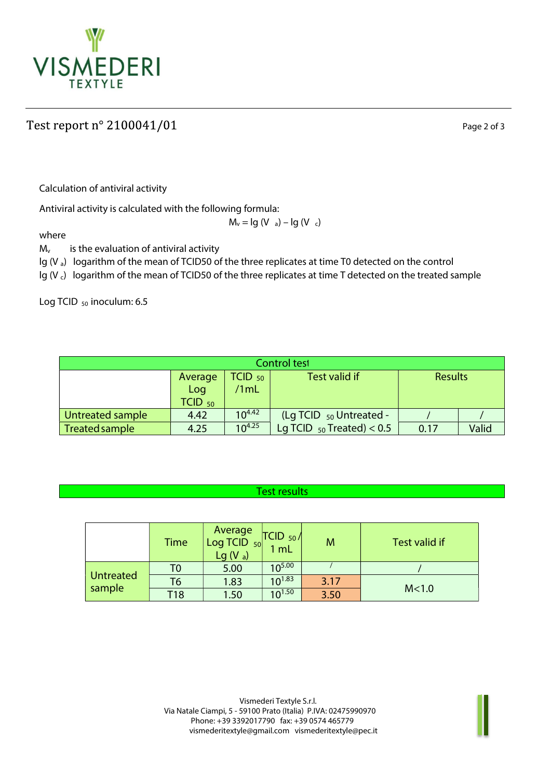

## Test report  $n^{\circ}$  2100041/01

Page 2 of 3

Calculation of antiviral activity

Antiviral activity is calculated with the following formula:

 $M_v = Ig (V_a) - Ig (V_c)$ 

where

 $M_v$  is the evaluation of antiviral activity

lg (V a) logarithm of the mean of TCID50 of the three replicates at time T0 detected on the control

Ig (V<sub>c</sub>) logarithm of the mean of TCID50 of the three replicates at time T detected on the treated sample

Log TCID <sub>50</sub> inoculum: 6.5

| Control test     |             |             |                                |                |       |  |  |
|------------------|-------------|-------------|--------------------------------|----------------|-------|--|--|
|                  | Average     | $TCID_{50}$ | Test valid if                  | <b>Results</b> |       |  |  |
|                  | Log         | /1mL        |                                |                |       |  |  |
|                  | $TCID_{50}$ |             |                                |                |       |  |  |
| Untreated sample | 4.42        | $10^{4.42}$ | (Lg TCID $_{50}$ Untreated -   |                |       |  |  |
| Treated sample   | 4.25        | $10^{4.25}$ | Lg TCID $_{50}$ Treated) < 0.5 | 0.17           | Valid |  |  |

## Test results

|                  | <b>Time</b> | Average<br>Log TCID $_{50}$<br>$Lg(V_a)$ | $TCID_{50}/$<br>ImL | M    | Test valid if |
|------------------|-------------|------------------------------------------|---------------------|------|---------------|
|                  | T0          | 5.00                                     | $10^{5.00}$         |      |               |
| <b>Untreated</b> | Т6          | 1.83                                     | $10^{1.83}$         | 3.17 |               |
| sample           | T18         | 1.50                                     | 10 <sup>1.50</sup>  | 3.50 | M<1.0         |